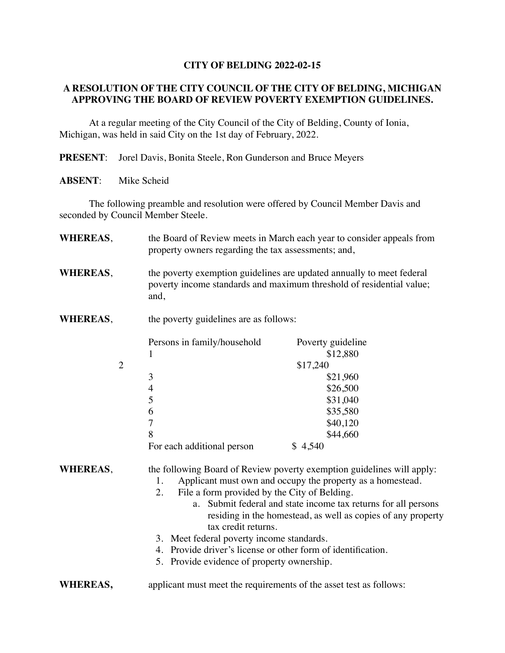## **CITY OF BELDING 2022-02-15**

## **A RESOLUTION OF THE CITY COUNCIL OF THE CITY OF BELDING, MICHIGAN APPROVING THE BOARD OF REVIEW POVERTY EXEMPTION GUIDELINES.**

At a regular meeting of the City Council of the City of Belding, County of Ionia, Michigan, was held in said City on the 1st day of February, 2022.

**PRESENT**: Jorel Davis, Bonita Steele, Ron Gunderson and Bruce Meyers

**ABSENT**: Mike Scheid

The following preamble and resolution were offered by Council Member Davis and seconded by Council Member Steele.

| <b>WHEREAS,</b> | the Board of Review meets in March each year to consider appeals from<br>property owners regarding the tax assessments; and,                                                                                                                                                                                                                                                                                                                                                                                            |                                                                                 |
|-----------------|-------------------------------------------------------------------------------------------------------------------------------------------------------------------------------------------------------------------------------------------------------------------------------------------------------------------------------------------------------------------------------------------------------------------------------------------------------------------------------------------------------------------------|---------------------------------------------------------------------------------|
| <b>WHEREAS,</b> | the poverty exemption guidelines are updated annually to meet federal<br>poverty income standards and maximum threshold of residential value;<br>and,                                                                                                                                                                                                                                                                                                                                                                   |                                                                                 |
| <b>WHEREAS,</b> | the poverty guidelines are as follows:                                                                                                                                                                                                                                                                                                                                                                                                                                                                                  |                                                                                 |
| $\overline{2}$  | Persons in family/household<br>1                                                                                                                                                                                                                                                                                                                                                                                                                                                                                        | Poverty guideline<br>\$12,880<br>\$17,240                                       |
|                 | 3<br>$\overline{4}$<br>5<br>6<br>$\overline{7}$<br>8<br>For each additional person                                                                                                                                                                                                                                                                                                                                                                                                                                      | \$21,960<br>\$26,500<br>\$31,040<br>\$35,580<br>\$40,120<br>\$44,660<br>\$4,540 |
| <b>WHEREAS,</b> | the following Board of Review poverty exemption guidelines will apply:<br>Applicant must own and occupy the property as a homestead.<br>1.<br>2.<br>File a form provided by the City of Belding.<br>Submit federal and state income tax returns for all persons<br>a.<br>residing in the homestead, as well as copies of any property<br>tax credit returns.<br>3. Meet federal poverty income standards.<br>4. Provide driver's license or other form of identification.<br>5. Provide evidence of property ownership. |                                                                                 |
| <b>WHEREAS,</b> | applicant must meet the requirements of the asset test as follows:                                                                                                                                                                                                                                                                                                                                                                                                                                                      |                                                                                 |